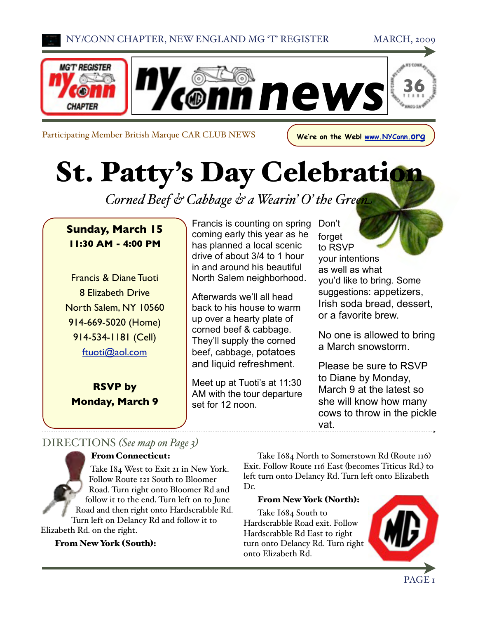

Participating Member British Marque CAR CLUB NEWS **We're on the Web! [www.NYConn.org](http://www.NYConn.org)** 

St. Patty's Day Celebration

*Corned Beef & Cabbage & a Wearin' O' the Green*

### **Sunday, March 15 11:30 AM - 4:00 PM**

Francis & Diane Tuoti 8 Elizabeth Drive North Salem, NY 10560 914-669-5020 (Home) 914-534-1181 (Cell) [ftuoti@aol.com](mailto:ftuoti@aol.com)

**RSVP by Monday, March 9** Francis is counting on spring coming early this year as he has planned a local scenic drive of about 3/4 to 1 hour in and around his beautiful North Salem neighborhood.

Afterwards we'll all head back to his house to warm up over a hearty plate of corned beef & cabbage. They'll supply the corned beef, cabbage, potatoes and liquid refreshment.

Meet up at Tuoti's at 11:30 AM with the tour departure set for 12 noon.

Don't forget to RSVP your intentions as well as what you'd like to bring. Some suggestions: appetizers, Irish soda bread, dessert, or a favorite brew.

No one is allowed to bring a March snowstorm.

Please be sure to RSVP to Diane by Monday, March 9 at the latest so she will know how many cows to throw in the pickle vat.

## DIRECTIONS *(See map on Page 3)*

### From Connecticut:

Take I84 West to Exit 21 in New York. Follow Route 121 South to Bloomer Road. Turn right onto Bloomer Rd and follow it to the end. Turn left on to June Road and then right onto Hardscrabble Rd. Turn left on Delancy Rd and follow it to Elizabeth Rd. on the right.

From New York (South):

Take I684 North to Somerstown Rd (Route 116) Exit. Follow Route 116 East (becomes Titicus Rd.) to left turn onto Delancy Rd. Turn left onto Elizabeth Dr.

### From New York (North):

Take I684 South to Hardscrabble Road exit. Follow Hardscrabble Rd East to right turn onto Delancy Rd. Turn right onto Elizabeth Rd.

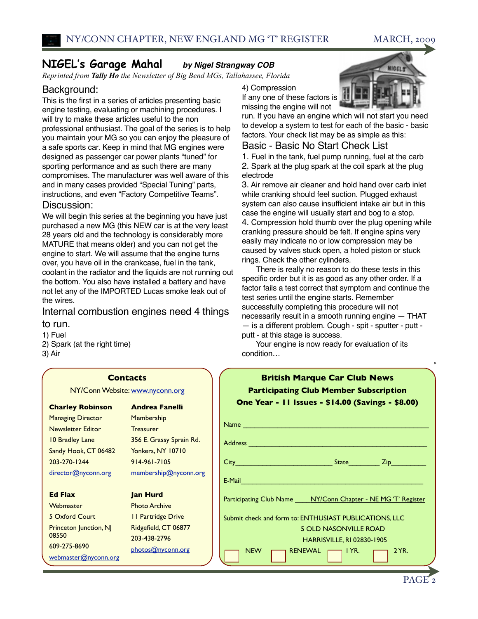### **NIGEL's Garage Mahal** *by Nigel Strangway COB*

*Reprinted from Tally Ho the Newsletter of Big Bend MGs, Tallahassee, Florida*

### Background:

This is the first in a series of articles presenting basic engine testing, evaluating or machining procedures. I will try to make these articles useful to the non professional enthusiast. The goal of the series is to help you maintain your MG so you can enjoy the pleasure of a safe sports car. Keep in mind that MG engines were designed as passenger car power plants "tuned" for sporting performance and as such there are many compromises. The manufacturer was well aware of this and in many cases provided "Special Tuning" parts, instructions, and even "Factory Competitive Teams".

### Discussion:

We will begin this series at the beginning you have just purchased a new MG (this NEW car is at the very least 28 years old and the technology is considerably more MATURE that means older) and you can not get the engine to start. We will assume that the engine turns over, you have oil in the crankcase, fuel in the tank, coolant in the radiator and the liquids are not running out the bottom. You also have installed a battery and have not let any of the IMPORTED Lucas smoke leak out of the wires.

### Internal combustion engines need 4 things

#### to run.

1) Fuel 2) Spark (at the right time) 3) Air

4) Compression

If any one of these factors is missing the engine will not



run. If you have an engine which will not start you need to develop a system to test for each of the basic - basic factors. Your check list may be as simple as this:

### Basic - Basic No Start Check List

1. Fuel in the tank, fuel pump running, fuel at the carb 2. Spark at the plug spark at the coil spark at the plug electrode

3. Air remove air cleaner and hold hand over carb inlet while cranking should feel suction. Plugged exhaust system can also cause insufficient intake air but in this case the engine will usually start and bog to a stop. 4. Compression hold thumb over the plug opening while cranking pressure should be felt. If engine spins very easily may indicate no or low compression may be caused by valves stuck open, a holed piston or stuck rings. Check the other cylinders.

There is really no reason to do these tests in this specific order but it is as good as any other order. If a factor fails a test correct that symptom and continue the test series until the engine starts. Remember successfully completing this procedure will not necessarily result in a smooth running engine — THAT — is a different problem. Cough - spit - sputter - putt putt - at this stage is success.

Your engine is now ready for evaluation of its condition…

| <b>British Marque Car Club News</b><br><b>Participating Club Member Subscription</b><br>One Year - 11 Issues - \$14.00 (Savings - \$8.00) |
|-------------------------------------------------------------------------------------------------------------------------------------------|
|                                                                                                                                           |
|                                                                                                                                           |
|                                                                                                                                           |
| E-Mail                                                                                                                                    |
| Participating Club Name ____ NY/Conn Chapter - NE MG'T' Register                                                                          |
| Submit check and form to: ENTHUSIAST PUBLICATIONS, LLC                                                                                    |
| <b>5 OLD NASONVILLE ROAD</b><br><b>HARRISVILLE, RI 02830-1905</b>                                                                         |
| <b>RENEWAL</b><br>2YR<br><b>NEW</b><br>$\lnot$ I YR.                                                                                      |

#### **Contacts**

NY/Conn Website: [www.nyconn.org](http://www.nyconn.org)

#### **Charley Robinson**

Managing Director Newsletter Editor 10 Bradley Lane Sandy Hook, CT 06482 203-270-1244 [director@nyconn.org](mailto:director@nyconn.org)

**Ed Flax Webmaster** 5 Oxford Court Princeton Junction, NJ

08550

609-275-8690

[webmaster@nyconn.org](mailto:webmaster@nyconn.org)

### Membership **Treasurer** 356 E. Grassy Sprain Rd. Yonkers, NY 10710 914-961-7105 [membership@nyconn.org](mailto:membership@nyconn.org)

**Andrea Fanelli**

#### **Jan Hurd**

Photo Archive 11 Partridge Drive Ridgefield, CT 06877 203-438-2796 [photos@nyconn.org](mailto:photos@nyconn.org)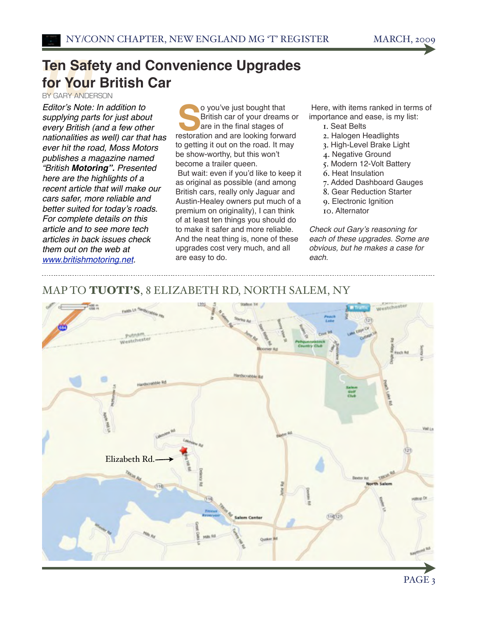# **Ten Safety and Convenience Upgrades<br>for Your British Car<br>Editor's Nata In addition to the Convenient Insurant that for Your British Car**

BY GARY ANDERSON

*Editor*'*s Note: In addition to supplying parts for just about every British (and a few other nationalities as well) car that has ever hit the road, Moss Motors publishes a magazine named "British Motoring". Presented here are the highlights of a recent article that will make our cars safer, more reliable and better suited for today*'*s roads. For complete details on this article and to see more tech articles in back issues check them out on the web at [www.britishmotoring.net.](http://www.britishmotoring.net)*

o you've just bought that British car of your dreams or are in the final stages of o you've just bought that<br>British car of your dreams or<br>are in the final stages of<br>restoration and are looking forward to getting it out on the road. It may be show-worthy, but this won't become a trailer queen. But wait: even if you'd like to keep it as original as possible (and among British cars, really only Jaguar and Austin-Healey owners put much of a premium on originality), I can think of at least ten things you should do to make it safer and more reliable. And the neat thing is, none of these upgrades cost very much, and all are easy to do.

 Here, with items ranked in terms of importance and ease, is my list:

- 1. Seat Belts
- 2. Halogen Headlights
- 3. High-Level Brake Light
- 4. Negative Ground
- 5. Modern 12-Volt Battery
- 6. Heat Insulation
- 7. Added Dashboard Gauges
- 8. Gear Reduction Starter
- 9. Electronic Ignition
- 10. Alternator

*Check out Gary*'*s reasoning for each of these upgrades. Some are obvious, but he makes a case for each.*

### MAP TO TUOTI'S, 8 ELIZABETH RD, NORTH SALEM, NY



PAGE<sub>3</sub>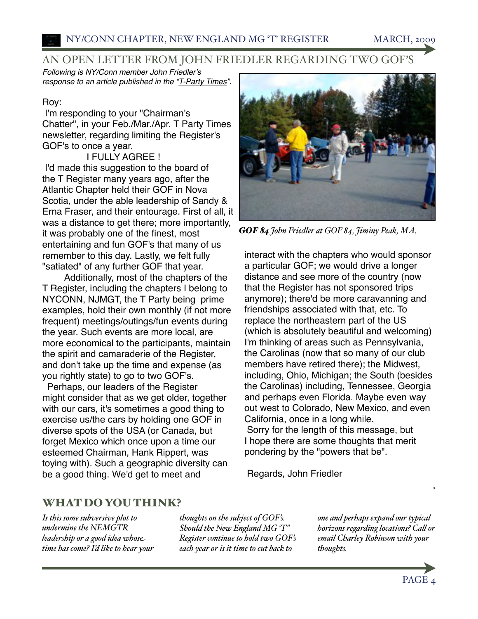### AN OPEN LETTER FROM JOHN FRIEDLER REGARDING TWO GOF'S

*Following is NY/Conn member John Friedler*'*s response to an article published in the "T-Party Times".*

### Roy:

I'm responding to your "Chairman's Chatter", in your Feb./Mar./Apr. T Party Times newsletter, regarding limiting the Register's GOF's to once a year.

### I FULLY AGREE !

I'd made this suggestion to the board of the T Register many years ago, after the Atlantic Chapter held their GOF in Nova Scotia, under the able leadership of Sandy & Erna Fraser, and their entourage. First of all, it was a distance to get there; more importantly, it was probably one of the finest, most entertaining and fun GOF's that many of us remember to this day. Lastly, we felt fully "satiated" of any further GOF that year.

Additionally, most of the chapters of the T Register, including the chapters I belong to NYCONN, NJMGT, the T Party being prime examples, hold their own monthly (if not more frequent) meetings/outings/fun events during the year. Such events are more local, are more economical to the participants, maintain the spirit and camaraderie of the Register, and don't take up the time and expense (as you rightly state) to go to two GOF's.

Perhaps, our leaders of the Register might consider that as we get older, together with our cars, it's sometimes a good thing to exercise us/the cars by holding one GOF in diverse spots of the USA (or Canada, but forget Mexico which once upon a time our esteemed Chairman, Hank Rippert, was toying with). Such a geographic diversity can be a good thing. We'd get to meet and



*GOF 84 John Friedler at GOF 84, Jiminy Peak, MA.*

interact with the chapters who would sponsor a particular GOF; we would drive a longer distance and see more of the country (now that the Register has not sponsored trips anymore); there'd be more caravanning and friendships associated with that, etc. To replace the northeastern part of the US (which is absolutely beautiful and welcoming) I'm thinking of areas such as Pennsylvania, the Carolinas (now that so many of our club members have retired there); the Midwest, including, Ohio, Michigan; the South (besides the Carolinas) including, Tennessee, Georgia and perhaps even Florida. Maybe even way out west to Colorado, New Mexico, and even California, once in a long while. Sorry for the length of this message, but

I hope there are some thoughts that merit pondering by the "powers that be".

Regards, John Friedler

### WHAT DO YOU THINK?

*Is this some subversive plot to undermine the NEMGTR leadership or a good idea whose time has come? I'd like to hear your*  *thoughts on the subject of GOF's. Should the New England MG 'T" Register continue to hold two GOF's each year or is it time to cut back to* 

*one and perhaps expand our typical horizons regarding locations? Call or email Charley Robinson with your thoughts.*

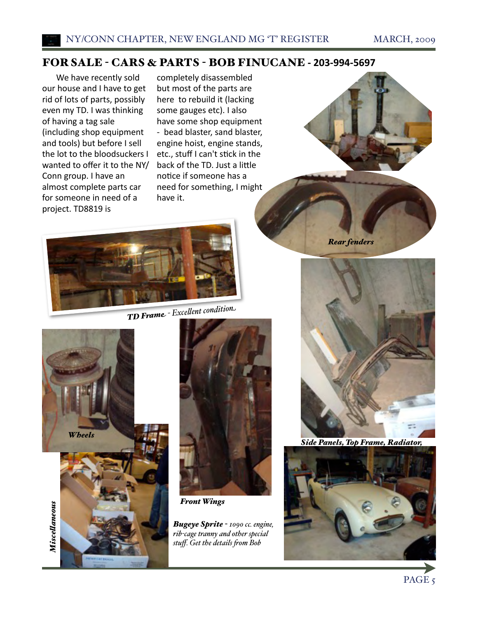### FOR SALE - CARS & PARTS - BOB FINUCANE **‐ 203‐994‐5697**

We have recently sold our house and I have to get rid of lots of parts, possibly even my TD. I was thinking of having a tag sale (including shop equipment and tools) but before I sell the lot to the bloodsuckers I wanted to offer it to the NY/ Conn group. I have an almost complete parts car for someone in need of a project. TD8819 is

completely disassembled but most of the parts are here to rebuild it (lacking some gauges etc). I also have some shop equipment ‐ bead blaster, sand blaster, engine hoist, engine stands, etc., stuff I can't stick in the back of the TD. Just a little notice if someone has a need for something, I might have it.



*TD Fram<sup>e</sup> - Exce%ent conditio<sup>n</sup>*





*Front Wings*

*Bugeye Sprite - 1090 cc. engine, rib-cage tranny and other special stuff. Get the details (om Bob*



*Rear fenders*



*Side Panels, Top Frame, Radiator,* 



PAGE<sub>5</sub>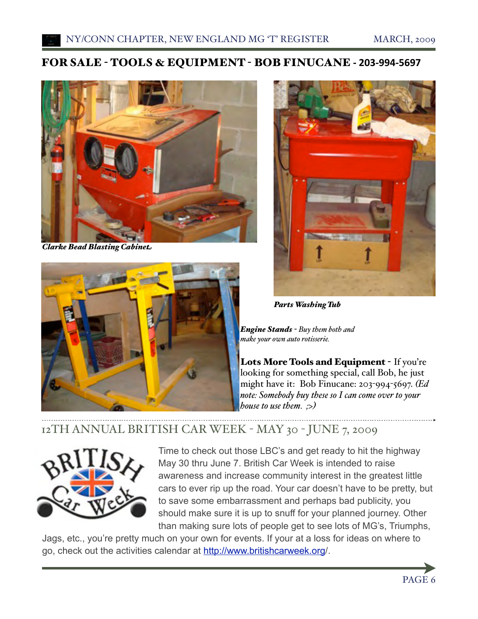### FOR SALE - TOOLS & EQUIPMENT - BOB FINUCANE **‐ 203‐994‐5697**



*Clarke Bead Blasting Cabinet*





*Parts Washing Tub*

*Engine Stands - Buy them both and make your own auto rotisserie.*

Lots More Tools and Equipment - If you're looking for something special, call Bob, he just might have it: Bob Finucane: 203-994-5697. *(Ed note: Somebody buy these so I can come over to your house to use them. ;>)*

## 12TH ANNUAL BRITISH CAR WEEK - MAY 30 - JUNE 7, 2009



Time to check out those LBC's and get ready to hit the highway May 30 thru June 7. British Car Week is intended to raise awareness and increase community interest in the greatest little cars to ever rip up the road. Your car doesn't have to be pretty, but to save some embarrassment and perhaps bad publicity, you should make sure it is up to snuff for your planned journey. Other than making sure lots of people get to see lots of MG's, Triumphs,

Jags, etc., you're pretty much on your own for events. If your at a loss for ideas on where to go, check out the activities calendar at [http://www.britishcarweek.org/](http://www.britishcarweek.org).

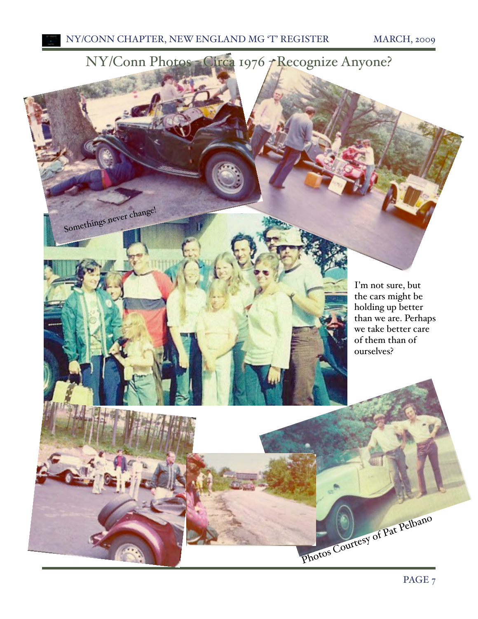Somethings never change!



I'm not sure, but the cars might be holding up better than we are. Perhaps we take better care of them than of ourselves?

Photos Courtesy of Pat Pelbano